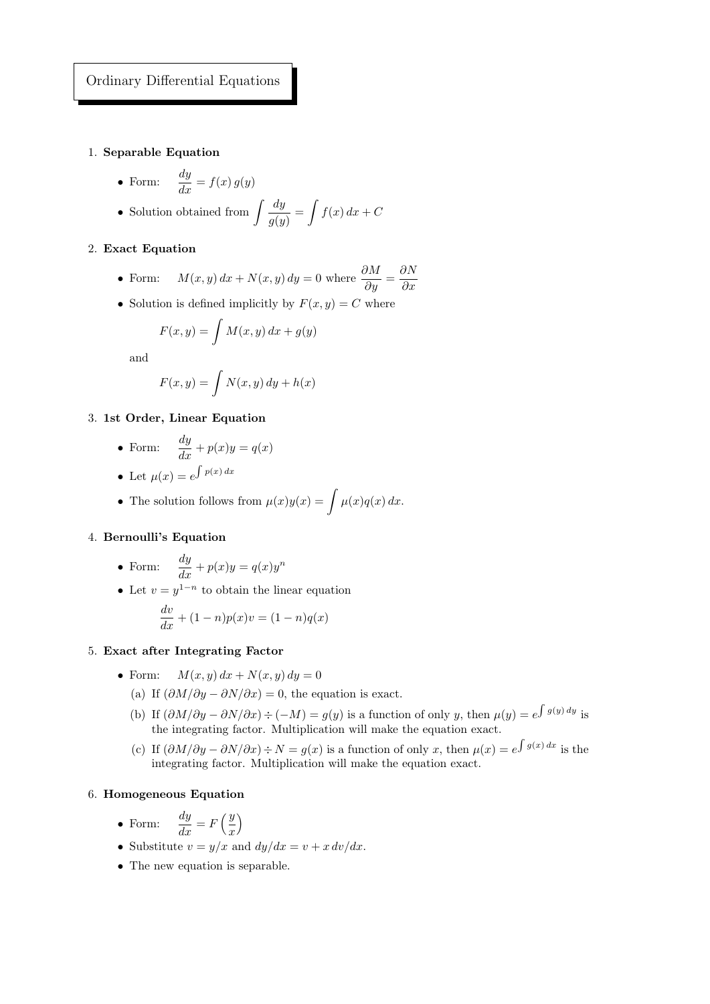## 1. Separable Equation

- Form:  $\frac{dy}{dx} = f(x) g(y)$
- Solution obtained from  $\int \frac{dy}{\sqrt{y}}$  $\frac{dy}{g(y)} = \int f(x) dx + C$

## 2. Exact Equation

- Form:  $M(x, y) dx + N(x, y) dy = 0$  where  $\frac{\partial M}{\partial y} = \frac{\partial N}{\partial x}$  $\partial x$
- Solution is defined implicitly by  $F(x, y) = C$  where

$$
F(x,y) = \int M(x,y) dx + g(y)
$$

and

$$
F(x,y) = \int N(x,y) \, dy + h(x)
$$

3. 1st Order, Linear Equation

• Form: 
$$
\frac{dy}{dx} + p(x)y = q(x)
$$

- Let  $\mu(x) = e^{\int p(x) dx}$
- The solution follows from  $\mu(x)y(x) = \int \mu(x)q(x) dx$ .

# 4. Bernoulli's Equation

- Form:  $\frac{dy}{dx} + p(x)y = q(x)y^n$
- Let  $v = y^{1-n}$  to obtain the linear equation

$$
\frac{dv}{dx} + (1 - n)p(x)v = (1 - n)q(x)
$$

- 5. Exact after Integrating Factor
	- Form:  $M(x, y) dx + N(x, y) dy = 0$ 
		- (a) If  $(\partial M/\partial y \partial N/\partial x) = 0$ , the equation is exact.
		- (b) If  $(\partial M/\partial y \partial N/\partial x) \div (-M) = g(y)$  is a function of only y, then  $\mu(y) = e^{\int g(y) dy}$  is the integrating factor. Multiplication will make the equation exact.
		- (c) If  $(\partial M/\partial y \partial N/\partial x) \div N = g(x)$  is a function of only x, then  $\mu(x) = e^{\int g(x) dx}$  is the integrating factor. Multiplication will make the equation exact.

## 6. Homogeneous Equation

- Form:  $\frac{dy}{dx} = F\left(\frac{y}{x}\right)$  $\overline{x}$  $\setminus$
- Substitute  $v = y/x$  and  $dy/dx = v + x dv/dx$ .
- The new equation is separable.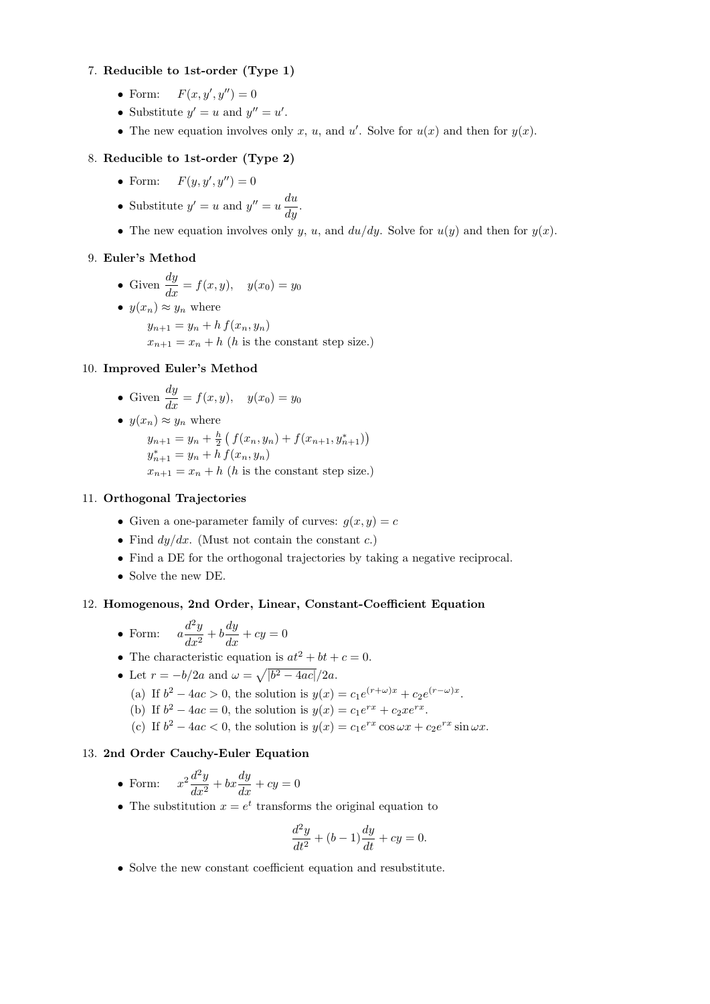## 7. Reducible to 1st-order (Type 1)

- Form:  $F(x, y', y'') = 0$
- Substitute  $y' = u$  and  $y'' = u'$ .
- The new equation involves only x, u, and u'. Solve for  $u(x)$  and then for  $y(x)$ .

# 8. Reducible to 1st-order (Type 2)

- Form:  $F(y, y', y'') = 0$
- Substitute  $y' = u$  and  $y'' = u \frac{du}{dy}$ .
- The new equation involves only y, u, and  $du/dy$ . Solve for  $u(y)$  and then for  $y(x)$ .

## 9. Euler's Method

• Given  $\frac{dy}{dx} = f(x, y), \quad y(x_0) = y_0$  $y(x_n) \approx y_n$  where

 $y_{n+1} = y_n + h f(x_n, y_n)$  $x_{n+1} = x_n + h$  (h is the constant step size.)

#### 10. Improved Euler's Method

\n- Given 
$$
\frac{dy}{dx} = f(x, y)
$$
,  $y(x_0) = y_0$
\n- $y(x_n) \approx y_n$  where  $y_{n+1} = y_n + \frac{h}{2} \left( f(x_n, y_n) + f(x_{n+1}, y_{n+1}^*) \right)$ ,  $y_{n+1}^* = y_n + h f(x_n, y_n)$ ,  $x_{n+1} = x_n + h$  (h is the constant step size.)
\n

#### 11. Orthogonal Trajectories

- Given a one-parameter family of curves:  $q(x, y) = c$
- Find  $dy/dx$ . (Must not contain the constant c.)
- Find a DE for the orthogonal trajectories by taking a negative reciprocal.
- Solve the new DE.

# 12. Homogenous, 2nd Order, Linear, Constant-Coefficient Equation

- Form:  $a \frac{d^2y}{dx^2}$  $\frac{d^2y}{dx^2} + b\frac{dy}{dx} + cy = 0$
- The characteristic equation is  $at^2 + bt + c = 0$ .
- Let  $r = -b/2a$  and  $\omega = \sqrt{|b^2 4ac|}/2a$ .
	- (a) If  $b^2 4ac > 0$ , the solution is  $y(x) = c_1 e^{(r+\omega)x} + c_2 e^{(r-\omega)x}$ .
	- (b) If  $b^2 4ac = 0$ , the solution is  $y(x) = c_1 e^{rx} + c_2 x e^{rx}$ .
	- (c) If  $b^2 4ac < 0$ , the solution is  $y(x) = c_1 e^{rx} \cos \omega x + c_2 e^{rx} \sin \omega x$ .

## 13. 2nd Order Cauchy-Euler Equation

- Form:  $x^2 \frac{d^2y}{dx^2}$  $\frac{d^2y}{dx^2} + bx\frac{dy}{dx} + cy = 0$
- The substitution  $x = e^t$  transforms the original equation to

$$
\frac{d^2y}{dt^2} + (b-1)\frac{dy}{dt} + cy = 0.
$$

• Solve the new constant coefficient equation and resubstitute.